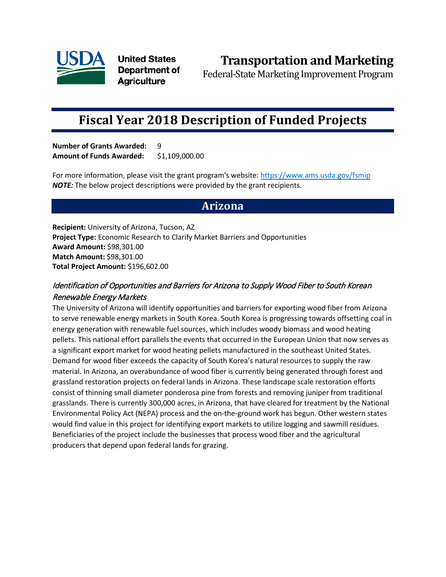

**United States** Department of **Agriculture** 

**Transportation and Marketing**

Federal-State Marketing Improvement Program

# **Fiscal Year 2018 Description of Funded Projects**

**Number of Grants Awarded:** 9 **Amount of Funds Awarded:** \$1,109,000.00

For more information, please visit the grant program's website[: https://www.ams.usda.gov/fsmip](https://www.ams.usda.gov/fsmip) *NOTE:* The below project descriptions were provided by the grant recipients.

# **Arizona**

**Recipient:** University of Arizona, Tucson, AZ **Project Type:** Economic Research to Clarify Market Barriers and Opportunities **Award Amount:** \$98,301.00 **Match Amount:** \$98,301.00 **Total Project Amount:** \$196,602.00

## Identification of Opportunities and Barriers for Arizona to Supply Wood Fiber to South Korean Renewable Energy Markets

The University of Arizona will identify opportunities and barriers for exporting wood fiber from Arizona to serve renewable energy markets in South Korea. South Korea is progressing towards offsetting coal in energy generation with renewable fuel sources, which includes woody biomass and wood heating pellets. This national effort parallels the events that occurred in the European Union that now serves as a significant export market for wood heating pellets manufactured in the southeast United States. Demand for wood fiber exceeds the capacity of South Korea's natural resources to supply the raw material. In Arizona, an overabundance of wood fiber is currently being generated through forest and grassland restoration projects on federal lands in Arizona. These landscape scale restoration efforts consist of thinning small diameter ponderosa pine from forests and removing juniper from traditional grasslands. There is currently 300,000 acres, in Arizona, that have cleared for treatment by the National Environmental Policy Act (NEPA) process and the on-the-ground work has begun. Other western states would find value in this project for identifying export markets to utilize logging and sawmill residues. Beneficiaries of the project include the businesses that process wood fiber and the agricultural producers that depend upon federal lands for grazing.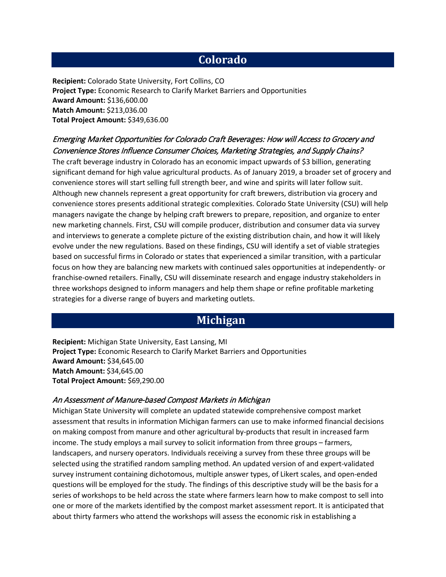# **Colorado**

**Recipient:** Colorado State University, Fort Collins, CO **Project Type:** Economic Research to Clarify Market Barriers and Opportunities **Award Amount:** \$136,600.00 **Match Amount:** \$213,036.00 **Total Project Amount:** \$349,636.00

## Emerging Market Opportunities for Colorado Craft Beverages: How will Access to Grocery and Convenience Stores Influence Consumer Choices, Marketing Strategies, and Supply Chains?

The craft beverage industry in Colorado has an economic impact upwards of \$3 billion, generating significant demand for high value agricultural products. As of January 2019, a broader set of grocery and convenience stores will start selling full strength beer, and wine and spirits will later follow suit. Although new channels represent a great opportunity for craft brewers, distribution via grocery and convenience stores presents additional strategic complexities. Colorado State University (CSU) will help managers navigate the change by helping craft brewers to prepare, reposition, and organize to enter new marketing channels. First, CSU will compile producer, distribution and consumer data via survey and interviews to generate a complete picture of the existing distribution chain, and how it will likely evolve under the new regulations. Based on these findings, CSU will identify a set of viable strategies based on successful firms in Colorado or states that experienced a similar transition, with a particular focus on how they are balancing new markets with continued sales opportunities at independently- or franchise-owned retailers. Finally, CSU will disseminate research and engage industry stakeholders in three workshops designed to inform managers and help them shape or refine profitable marketing strategies for a diverse range of buyers and marketing outlets.

# **Michigan**

**Recipient:** Michigan State University, East Lansing, MI **Project Type:** Economic Research to Clarify Market Barriers and Opportunities **Award Amount:** \$34,645.00 **Match Amount:** \$34,645.00 **Total Project Amount:** \$69,290.00

#### An Assessment of Manure-based Compost Markets in Michigan

Michigan State University will complete an updated statewide comprehensive compost market assessment that results in information Michigan farmers can use to make informed financial decisions on making compost from manure and other agricultural by-products that result in increased farm income. The study employs a mail survey to solicit information from three groups – farmers, landscapers, and nursery operators. Individuals receiving a survey from these three groups will be selected using the stratified random sampling method. An updated version of and expert-validated survey instrument containing dichotomous, multiple answer types, of Likert scales, and open-ended questions will be employed for the study. The findings of this descriptive study will be the basis for a series of workshops to be held across the state where farmers learn how to make compost to sell into one or more of the markets identified by the compost market assessment report. It is anticipated that about thirty farmers who attend the workshops will assess the economic risk in establishing a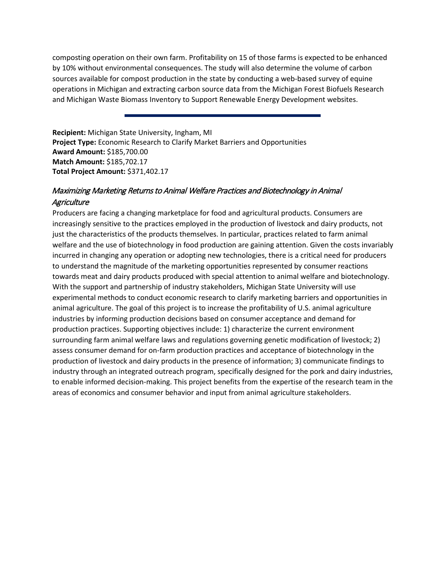composting operation on their own farm. Profitability on 15 of those farms is expected to be enhanced by 10% without environmental consequences. The study will also determine the volume of carbon sources available for compost production in the state by conducting a web-based survey of equine operations in Michigan and extracting carbon source data from the Michigan Forest Biofuels Research and Michigan Waste Biomass Inventory to Support Renewable Energy Development websites.

**Recipient:** Michigan State University, Ingham, MI **Project Type:** Economic Research to Clarify Market Barriers and Opportunities **Award Amount:** \$185,700.00 **Match Amount:** \$185,702.17 **Total Project Amount:** \$371,402.17

#### Maximizing Marketing Returns to Animal Welfare Practices and Biotechnology in Animal **Agriculture**

Producers are facing a changing marketplace for food and agricultural products. Consumers are increasingly sensitive to the practices employed in the production of livestock and dairy products, not just the characteristics of the products themselves. In particular, practices related to farm animal welfare and the use of biotechnology in food production are gaining attention. Given the costs invariably incurred in changing any operation or adopting new technologies, there is a critical need for producers to understand the magnitude of the marketing opportunities represented by consumer reactions towards meat and dairy products produced with special attention to animal welfare and biotechnology. With the support and partnership of industry stakeholders, Michigan State University will use experimental methods to conduct economic research to clarify marketing barriers and opportunities in animal agriculture. The goal of this project is to increase the profitability of U.S. animal agriculture industries by informing production decisions based on consumer acceptance and demand for production practices. Supporting objectives include: 1) characterize the current environment surrounding farm animal welfare laws and regulations governing genetic modification of livestock; 2) assess consumer demand for on-farm production practices and acceptance of biotechnology in the production of livestock and dairy products in the presence of information; 3) communicate findings to industry through an integrated outreach program, specifically designed for the pork and dairy industries, to enable informed decision-making. This project benefits from the expertise of the research team in the areas of economics and consumer behavior and input from animal agriculture stakeholders.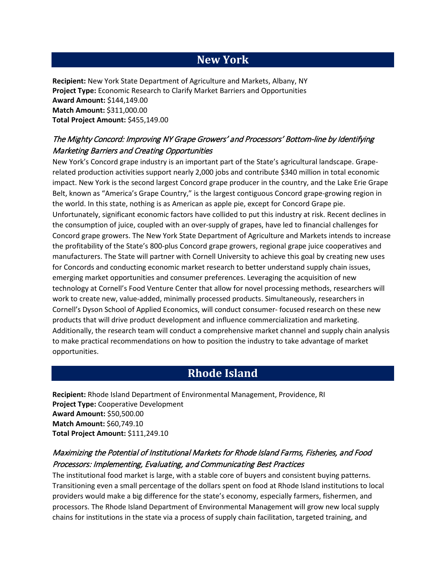# **New York**

**Recipient:** New York State Department of Agriculture and Markets, Albany, NY **Project Type:** Economic Research to Clarify Market Barriers and Opportunities **Award Amount:** \$144,149.00 **Match Amount:** \$311,000.00 **Total Project Amount:** \$455,149.00

### The Mighty Concord: Improving NY Grape Growers' and Processors' Bottom-line by Identifying Marketing Barriers and Creating Opportunities

New York's Concord grape industry is an important part of the State's agricultural landscape. Graperelated production activities support nearly 2,000 jobs and contribute \$340 million in total economic impact. New York is the second largest Concord grape producer in the country, and the Lake Erie Grape Belt, known as "America's Grape Country," is the largest contiguous Concord grape-growing region in the world. In this state, nothing is as American as apple pie, except for Concord Grape pie. Unfortunately, significant economic factors have collided to put this industry at risk. Recent declines in the consumption of juice, coupled with an over-supply of grapes, have led to financial challenges for Concord grape growers. The New York State Department of Agriculture and Markets intends to increase the profitability of the State's 800-plus Concord grape growers, regional grape juice cooperatives and manufacturers. The State will partner with Cornell University to achieve this goal by creating new uses for Concords and conducting economic market research to better understand supply chain issues, emerging market opportunities and consumer preferences. Leveraging the acquisition of new technology at Cornell's Food Venture Center that allow for novel processing methods, researchers will work to create new, value-added, minimally processed products. Simultaneously, researchers in Cornell's Dyson School of Applied Economics, will conduct consumer- focused research on these new products that will drive product development and influence commercialization and marketing. Additionally, the research team will conduct a comprehensive market channel and supply chain analysis to make practical recommendations on how to position the industry to take advantage of market opportunities.

# **Rhode Island**

**Recipient:** Rhode Island Department of Environmental Management, Providence, RI **Project Type:** Cooperative Development **Award Amount:** \$50,500.00 **Match Amount:** \$60,749.10 **Total Project Amount:** \$111,249.10

## Maximizing the Potential of Institutional Markets for Rhode Island Farms, Fisheries, and Food Processors: Implementing, Evaluating, and Communicating Best Practices

The institutional food market is large, with a stable core of buyers and consistent buying patterns. Transitioning even a small percentage of the dollars spent on food at Rhode Island institutions to local providers would make a big difference for the state's economy, especially farmers, fishermen, and processors. The Rhode Island Department of Environmental Management will grow new local supply chains for institutions in the state via a process of supply chain facilitation, targeted training, and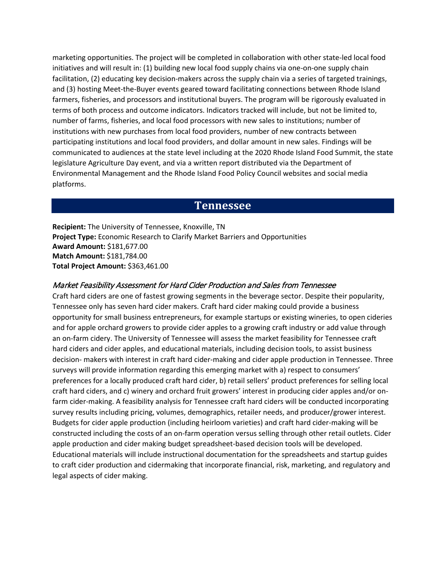marketing opportunities. The project will be completed in collaboration with other state-led local food initiatives and will result in: (1) building new local food supply chains via one-on-one supply chain facilitation, (2) educating key decision-makers across the supply chain via a series of targeted trainings, and (3) hosting Meet-the-Buyer events geared toward facilitating connections between Rhode Island farmers, fisheries, and processors and institutional buyers. The program will be rigorously evaluated in terms of both process and outcome indicators. Indicators tracked will include, but not be limited to, number of farms, fisheries, and local food processors with new sales to institutions; number of institutions with new purchases from local food providers, number of new contracts between participating institutions and local food providers, and dollar amount in new sales. Findings will be communicated to audiences at the state level including at the 2020 Rhode Island Food Summit, the state legislature Agriculture Day event, and via a written report distributed via the Department of Environmental Management and the Rhode Island Food Policy Council websites and social media platforms.

## **Tennessee**

**Recipient:** The University of Tennessee, Knoxville, TN **Project Type:** Economic Research to Clarify Market Barriers and Opportunities **Award Amount:** \$181,677.00 **Match Amount:** \$181,784.00 **Total Project Amount:** \$363,461.00

#### Market Feasibility Assessment for Hard Cider Production and Sales from Tennessee

Craft hard ciders are one of fastest growing segments in the beverage sector. Despite their popularity, Tennessee only has seven hard cider makers. Craft hard cider making could provide a business opportunity for small business entrepreneurs, for example startups or existing wineries, to open cideries and for apple orchard growers to provide cider apples to a growing craft industry or add value through an on-farm cidery. The University of Tennessee will assess the market feasibility for Tennessee craft hard ciders and cider apples, and educational materials, including decision tools, to assist business decision- makers with interest in craft hard cider-making and cider apple production in Tennessee. Three surveys will provide information regarding this emerging market with a) respect to consumers' preferences for a locally produced craft hard cider, b) retail sellers' product preferences for selling local craft hard ciders, and c) winery and orchard fruit growers' interest in producing cider apples and/or onfarm cider-making. A feasibility analysis for Tennessee craft hard ciders will be conducted incorporating survey results including pricing, volumes, demographics, retailer needs, and producer/grower interest. Budgets for cider apple production (including heirloom varieties) and craft hard cider-making will be constructed including the costs of an on-farm operation versus selling through other retail outlets. Cider apple production and cider making budget spreadsheet-based decision tools will be developed. Educational materials will include instructional documentation for the spreadsheets and startup guides to craft cider production and cidermaking that incorporate financial, risk, marketing, and regulatory and legal aspects of cider making.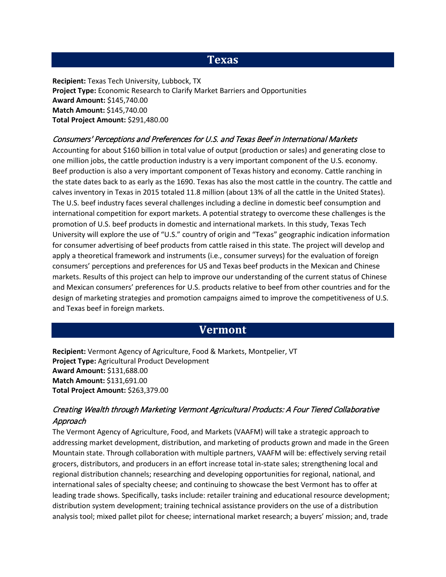# **Texas**

**Recipient:** Texas Tech University, Lubbock, TX **Project Type:** Economic Research to Clarify Market Barriers and Opportunities **Award Amount:** \$145,740.00 **Match Amount:** \$145,740.00 **Total Project Amount:** \$291,480.00

#### Consumers' Perceptions and Preferences for U.S. and Texas Beef in International Markets

Accounting for about \$160 billion in total value of output (production or sales) and generating close to one million jobs, the cattle production industry is a very important component of the U.S. economy. Beef production is also a very important component of Texas history and economy. Cattle ranching in the state dates back to as early as the 1690. Texas has also the most cattle in the country. The cattle and calves inventory in Texas in 2015 totaled 11.8 million (about 13% of all the cattle in the United States). The U.S. beef industry faces several challenges including a decline in domestic beef consumption and international competition for export markets. A potential strategy to overcome these challenges is the promotion of U.S. beef products in domestic and international markets. In this study, Texas Tech University will explore the use of "U.S." country of origin and "Texas" geographic indication information for consumer advertising of beef products from cattle raised in this state. The project will develop and apply a theoretical framework and instruments (i.e., consumer surveys) for the evaluation of foreign consumers' perceptions and preferences for US and Texas beef products in the Mexican and Chinese markets. Results of this project can help to improve our understanding of the current status of Chinese and Mexican consumers' preferences for U.S. products relative to beef from other countries and for the design of marketing strategies and promotion campaigns aimed to improve the competitiveness of U.S. and Texas beef in foreign markets.

# **Vermont**

**Recipient:** Vermont Agency of Agriculture, Food & Markets, Montpelier, VT **Project Type:** Agricultural Product Development **Award Amount:** \$131,688.00 **Match Amount:** \$131,691.00 **Total Project Amount:** \$263,379.00

#### Creating Wealth through Marketing Vermont Agricultural Products: A Four Tiered Collaborative Approach

The Vermont Agency of Agriculture, Food, and Markets (VAAFM) will take a strategic approach to addressing market development, distribution, and marketing of products grown and made in the Green Mountain state. Through collaboration with multiple partners, VAAFM will be: effectively serving retail grocers, distributors, and producers in an effort increase total in-state sales; strengthening local and regional distribution channels; researching and developing opportunities for regional, national, and international sales of specialty cheese; and continuing to showcase the best Vermont has to offer at leading trade shows. Specifically, tasks include: retailer training and educational resource development; distribution system development; training technical assistance providers on the use of a distribution analysis tool; mixed pallet pilot for cheese; international market research; a buyers' mission; and, trade